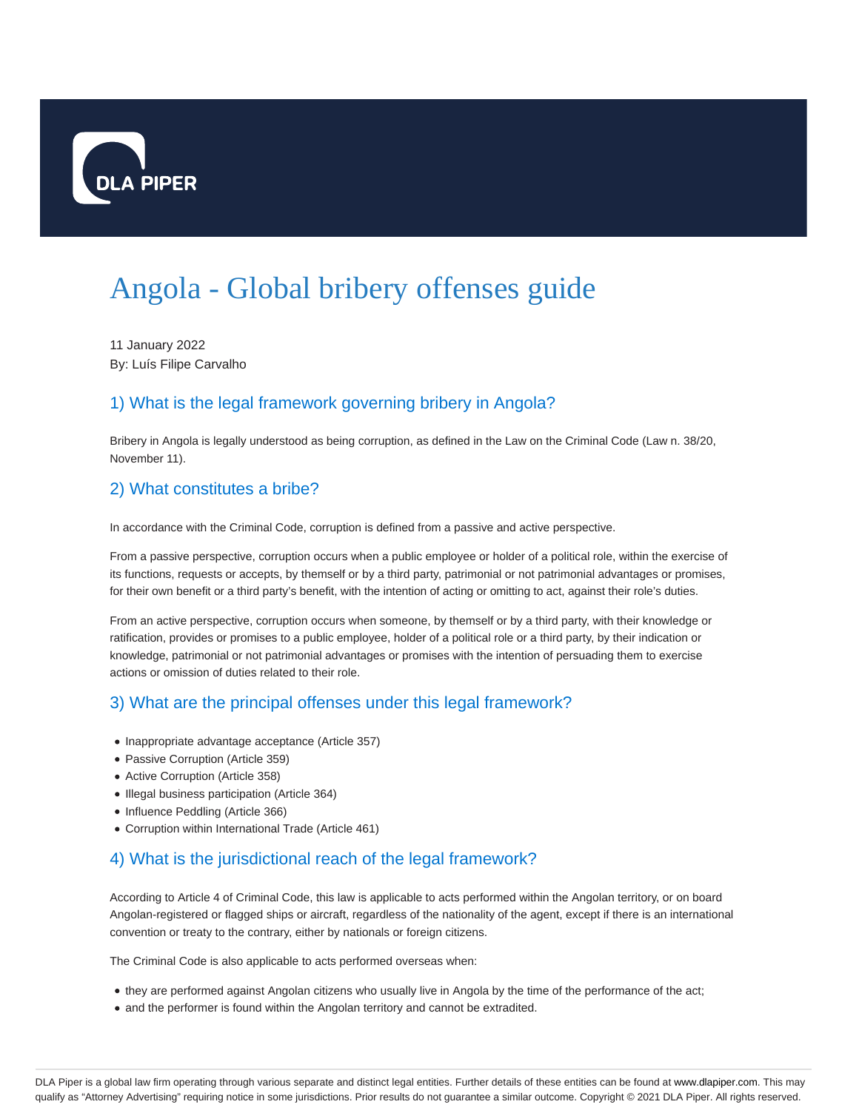

# Angola - Global bribery offenses guide

11 January 2022 By: Luís Filipe Carvalho

## 1) What is the legal framework governing bribery in Angola?

Bribery in Angola is legally understood as being corruption, as defined in the Law on the Criminal Code (Law n. 38/20, November 11).

#### 2) What constitutes a bribe?

In accordance with the Criminal Code, corruption is defined from a passive and active perspective.

From a passive perspective, corruption occurs when a public employee or holder of a political role, within the exercise of its functions, requests or accepts, by themself or by a third party, patrimonial or not patrimonial advantages or promises, for their own benefit or a third party's benefit, with the intention of acting or omitting to act, against their role's duties.

From an active perspective, corruption occurs when someone, by themself or by a third party, with their knowledge or ratification, provides or promises to a public employee, holder of a political role or a third party, by their indication or knowledge, patrimonial or not patrimonial advantages or promises with the intention of persuading them to exercise actions or omission of duties related to their role.

## 3) What are the principal offenses under this legal framework?

- Inappropriate advantage acceptance (Article 357)
- Passive Corruption (Article 359)
- Active Corruption (Article 358)
- Illegal business participation (Article 364)
- Influence Peddling (Article 366)
- Corruption within International Trade (Article 461)

## 4) What is the jurisdictional reach of the legal framework?

According to Article 4 of Criminal Code, this law is applicable to acts performed within the Angolan territory, or on board Angolan-registered or flagged ships or aircraft, regardless of the nationality of the agent, except if there is an international convention or treaty to the contrary, either by nationals or foreign citizens.

The Criminal Code is also applicable to acts performed overseas when:

- they are performed against Angolan citizens who usually live in Angola by the time of the performance of the act;
- and the performer is found within the Angolan territory and cannot be extradited.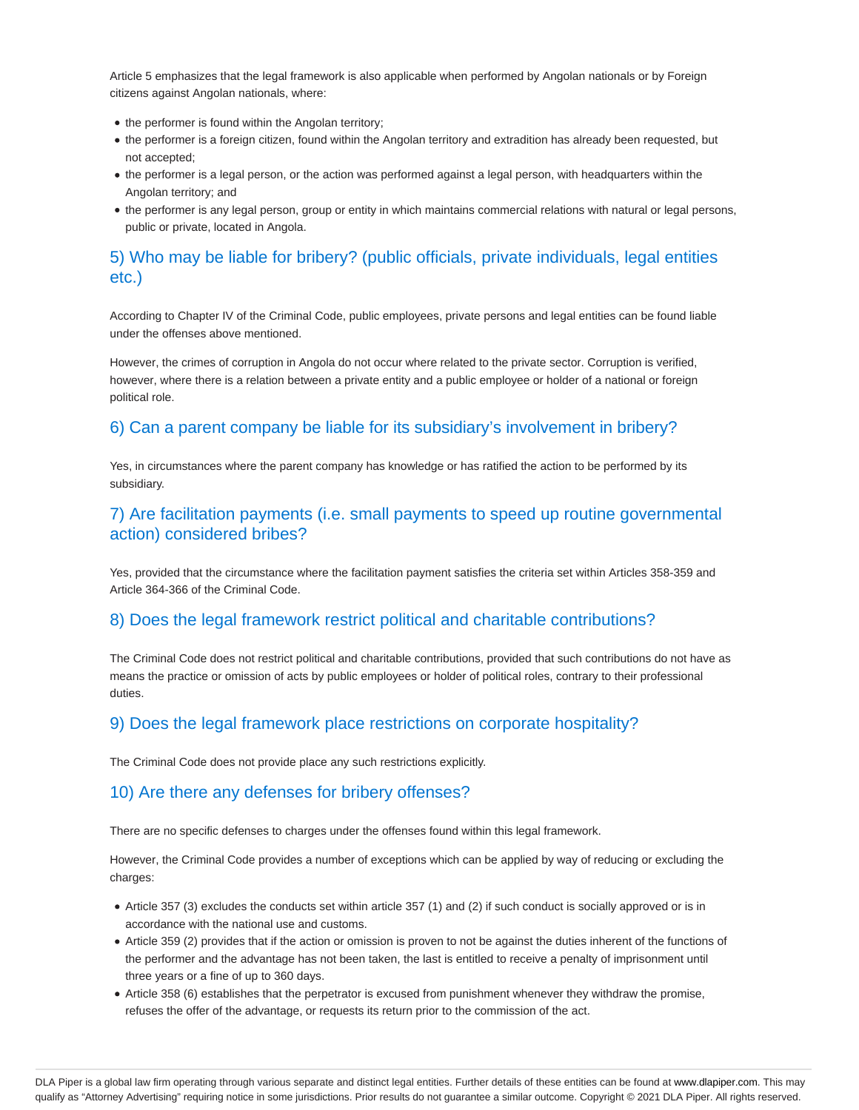Article 5 emphasizes that the legal framework is also applicable when performed by Angolan nationals or by Foreign citizens against Angolan nationals, where:

- the performer is found within the Angolan territory;
- the performer is a foreign citizen, found within the Angolan territory and extradition has already been requested, but not accepted;
- the performer is a legal person, or the action was performed against a legal person, with headquarters within the Angolan territory; and
- the performer is any legal person, group or entity in which maintains commercial relations with natural or legal persons, public or private, located in Angola.

## 5) Who may be liable for bribery? (public officials, private individuals, legal entities etc.)

According to Chapter IV of the Criminal Code, public employees, private persons and legal entities can be found liable under the offenses above mentioned.

However, the crimes of corruption in Angola do not occur where related to the private sector. Corruption is verified, however, where there is a relation between a private entity and a public employee or holder of a national or foreign political role.

## 6) Can a parent company be liable for its subsidiary's involvement in bribery?

Yes, in circumstances where the parent company has knowledge or has ratified the action to be performed by its subsidiary.

#### 7) Are facilitation payments (i.e. small payments to speed up routine governmental action) considered bribes?

Yes, provided that the circumstance where the facilitation payment satisfies the criteria set within Articles 358-359 and Article 364-366 of the Criminal Code.

#### 8) Does the legal framework restrict political and charitable contributions?

The Criminal Code does not restrict political and charitable contributions, provided that such contributions do not have as means the practice or omission of acts by public employees or holder of political roles, contrary to their professional duties.

#### 9) Does the legal framework place restrictions on corporate hospitality?

The Criminal Code does not provide place any such restrictions explicitly.

#### 10) Are there any defenses for bribery offenses?

There are no specific defenses to charges under the offenses found within this legal framework.

However, the Criminal Code provides a number of exceptions which can be applied by way of reducing or excluding the charges:

- Article 357 (3) excludes the conducts set within article 357 (1) and (2) if such conduct is socially approved or is in accordance with the national use and customs.
- Article 359 (2) provides that if the action or omission is proven to not be against the duties inherent of the functions of the performer and the advantage has not been taken, the last is entitled to receive a penalty of imprisonment until three years or a fine of up to 360 days.
- Article 358 (6) establishes that the perpetrator is excused from punishment whenever they withdraw the promise, refuses the offer of the advantage, or requests its return prior to the commission of the act.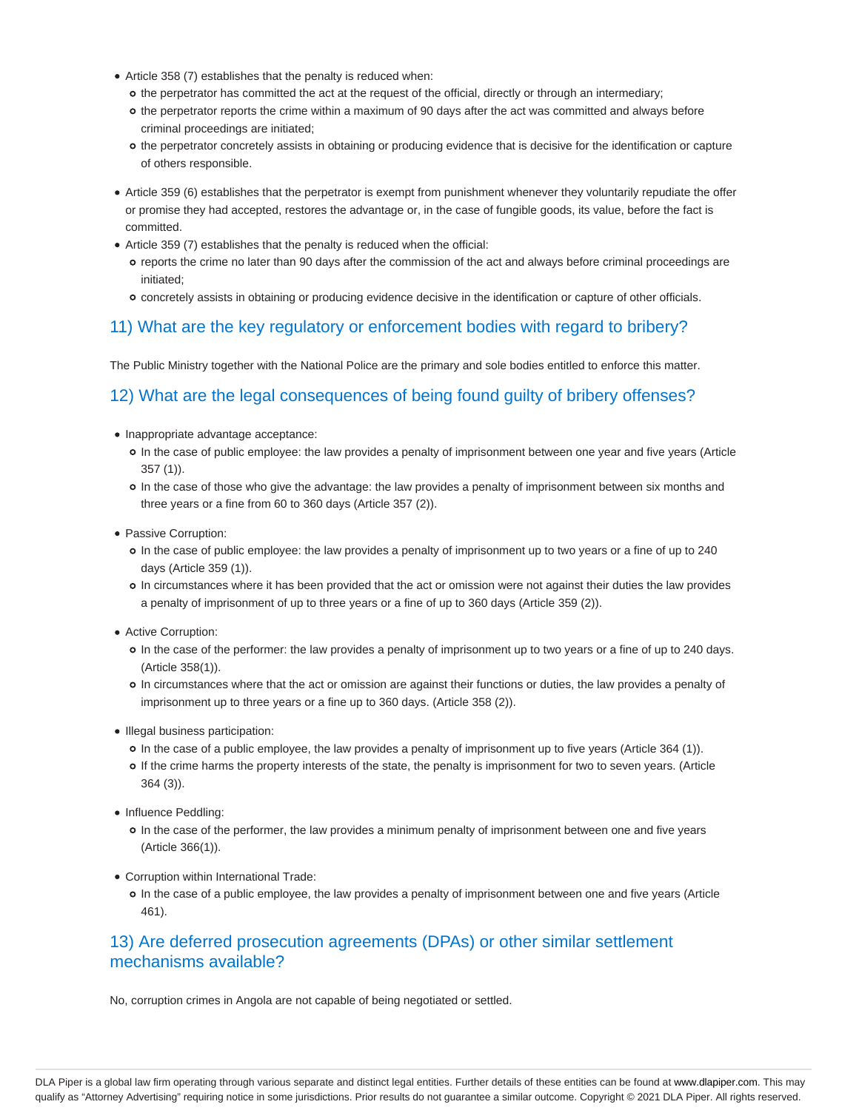- Article 358 (7) establishes that the penalty is reduced when:
	- o the perpetrator has committed the act at the request of the official, directly or through an intermediary;
	- o the perpetrator reports the crime within a maximum of 90 days after the act was committed and always before criminal proceedings are initiated;
	- o the perpetrator concretely assists in obtaining or producing evidence that is decisive for the identification or capture of others responsible.
- Article 359 (6) establishes that the perpetrator is exempt from punishment whenever they voluntarily repudiate the offer or promise they had accepted, restores the advantage or, in the case of fungible goods, its value, before the fact is committed.
- Article 359 (7) establishes that the penalty is reduced when the official:
	- reports the crime no later than 90 days after the commission of the act and always before criminal proceedings are initiated;
	- concretely assists in obtaining or producing evidence decisive in the identification or capture of other officials.

## 11) What are the key regulatory or enforcement bodies with regard to bribery?

The Public Ministry together with the National Police are the primary and sole bodies entitled to enforce this matter.

#### 12) What are the legal consequences of being found guilty of bribery offenses?

- Inappropriate advantage acceptance:
	- In the case of public employee: the law provides a penalty of imprisonment between one year and five years (Article 357 (1)).
	- In the case of those who give the advantage: the law provides a penalty of imprisonment between six months and three years or a fine from 60 to 360 days (Article 357 (2)).
- Passive Corruption:
	- In the case of public employee: the law provides a penalty of imprisonment up to two years or a fine of up to 240 days (Article 359 (1)).
	- In circumstances where it has been provided that the act or omission were not against their duties the law provides a penalty of imprisonment of up to three years or a fine of up to 360 days (Article 359 (2)).
- Active Corruption:
	- In the case of the performer: the law provides a penalty of imprisonment up to two years or a fine of up to 240 days. (Article 358(1)).
	- In circumstances where that the act or omission are against their functions or duties, the law provides a penalty of imprisonment up to three years or a fine up to 360 days. (Article 358 (2)).
- Illegal business participation:
	- In the case of a public employee, the law provides a penalty of imprisonment up to five years (Article 364 (1)).
	- If the crime harms the property interests of the state, the penalty is imprisonment for two to seven years. (Article 364 (3)).
- Influence Peddling:
	- In the case of the performer, the law provides a minimum penalty of imprisonment between one and five years (Article 366(1)).
- Corruption within International Trade:
	- In the case of a public employee, the law provides a penalty of imprisonment between one and five years (Article 461).

## 13) Are deferred prosecution agreements (DPAs) or other similar settlement mechanisms available?

No, corruption crimes in Angola are not capable of being negotiated or settled.